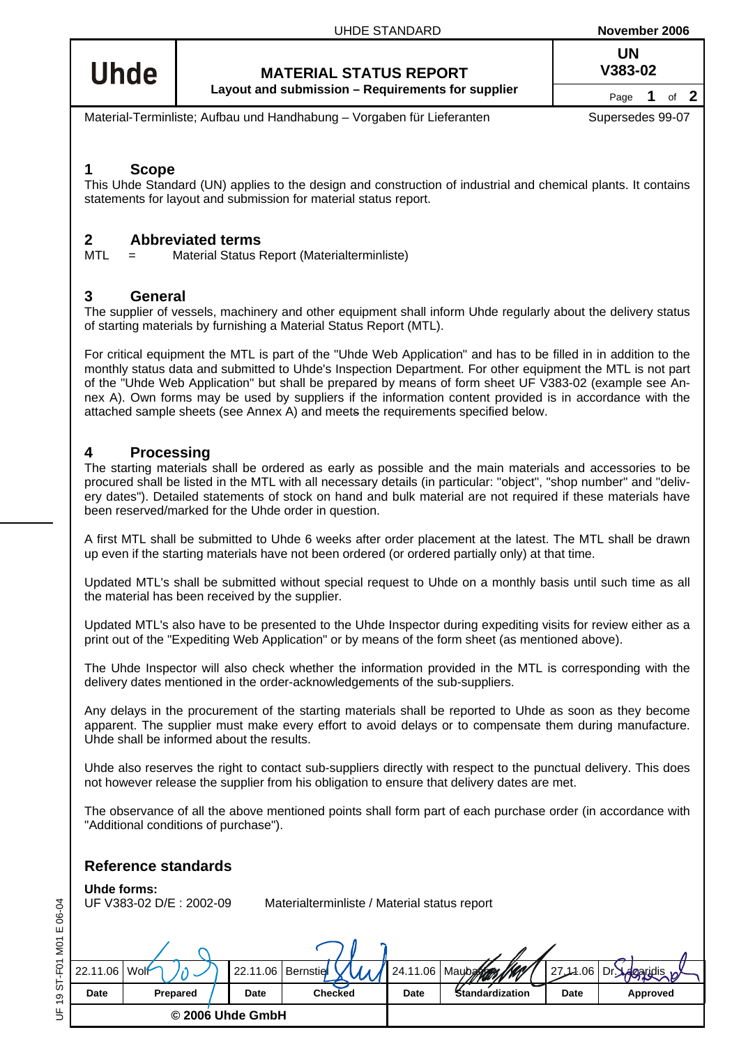**UN**

# **Uhde**

**MATERIAL STATUS REPORT V383-02 Layout and submission – Requirements for supplier** Page 1 of 2

Material-Terminliste; Aufbau und Handhabung – Vorgaben für Lieferanten Supersedes 99-07

#### **1 Scope**

This Uhde Standard (UN) applies to the design and construction of industrial and chemical plants. It contains statements for layout and submission for material status report.

## **2 Abbreviated terms**<br>MTI = Material Status **F**

Material Status Report (Materialterminliste)

### **3 General**

The supplier of vessels, machinery and other equipment shall inform Uhde regularly about the delivery status of starting materials by furnishing a Material Status Report (MTL).

For critical equipment the MTL is part of the "Uhde Web Application" and has to be filled in in addition to the monthly status data and submitted to Uhde's Inspection Department. For other equipment the MTL is not part of the "Uhde Web Application" but shall be prepared by means of form sheet UF V383-02 (example see An[nex A\). O](#page-1-0)wn forms may be used by suppliers if the information content provided is in accordance with the attached sample sheets (see [Annex A\)](#page-1-0) and meets the requirements specified below.

### **4 Processing**

The starting materials shall be ordered as early as possible and the main materials and accessories to be procured shall be listed in the MTL with all necessary details (in particular: "object", "shop number" and "delivery dates"). Detailed statements of stock on hand and bulk material are not required if these materials have been reserved/marked for the Uhde order in question.

A first MTL shall be submitted to Uhde 6 weeks after order placement at the latest. The MTL shall be drawn up even if the starting materials have not been ordered (or ordered partially only) at that time.

Updated MTL's shall be submitted without special request to Uhde on a monthly basis until such time as all the material has been received by the supplier.

Updated MTL's also have to be presented to the Uhde Inspector during expediting visits for review either as a print out of the "Expediting Web Application" or by means of the form sheet (as mentioned above).

The Uhde Inspector will also check whether the information provided in the MTL is corresponding with the delivery dates mentioned in the order-acknowledgements of the sub-suppliers.

Any delays in the procurement of the starting materials shall be reported to Uhde as soon as they become apparent. The supplier must make every effort to avoid delays or to compensate them during manufacture. Uhde shall be informed about the results.

Uhde also reserves the right to contact sub-suppliers directly with respect to the punctual delivery. This does not however release the supplier from his obligation to ensure that delivery dates are met.

The observance of all the above mentioned points shall form part of each purchase order (in accordance with "Additional conditions of purchase").

#### **Reference standards**

**Uhde forms:**<br>UF V383-02 D/E: 2002-09

Materialterminliste / Material status report

| 22.11.06 Wolf |          | 22.11.06   Bernstie |                | 24.11.06    | s IKA!<br>Maubaldom | 27.14.06 | Dr.      |  |  |  |  |  |  |  |  |
|---------------|----------|---------------------|----------------|-------------|---------------------|----------|----------|--|--|--|--|--|--|--|--|
| Date          | Prepared | Date                | <b>Checked</b> | <b>Date</b> | Standardization     | Date     | Approved |  |  |  |  |  |  |  |  |
|               |          | © 2006 Uhde GmbH    |                |             |                     |          |          |  |  |  |  |  |  |  |  |

JF 19 ST-F01 M01 E 06-04 UF 19 ST-F01 M01 E 06-04